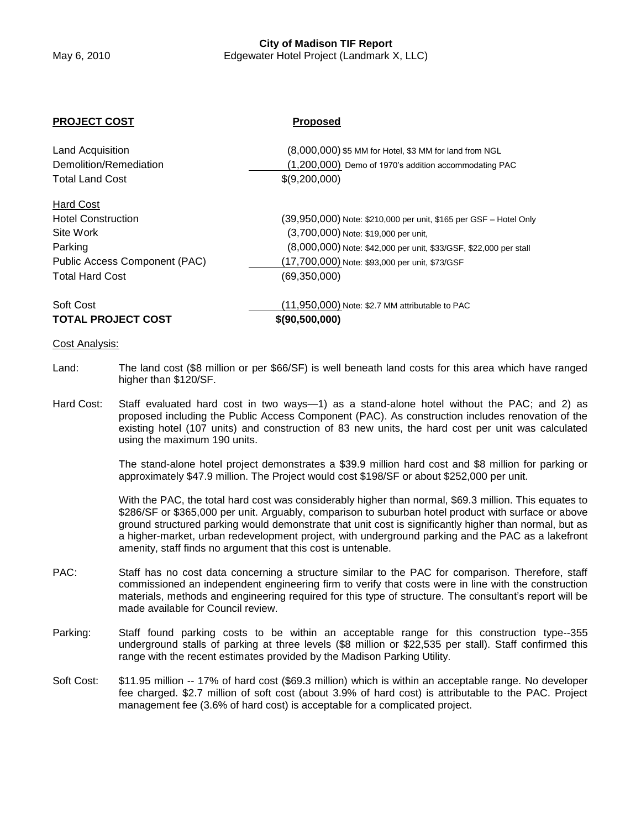# **City of Madison TIF Report**

## May 6, 2010 Edgewater Hotel Project (Landmark X, LLC)

#### **PROJECT COST Proposed**

| <b>Land Acquisition</b>       | (8,000,000) \$5 MM for Hotel, \$3 MM for land from NGL            |  |
|-------------------------------|-------------------------------------------------------------------|--|
| Demolition/Remediation        | (1,200,000) Demo of 1970's addition accommodating PAC             |  |
| <b>Total Land Cost</b>        | \$(9,200,000)                                                     |  |
| <b>Hard Cost</b>              |                                                                   |  |
| <b>Hotel Construction</b>     | (39,950,000) Note: \$210,000 per unit, \$165 per GSF - Hotel Only |  |
| Site Work                     | (3,700,000) Note: \$19,000 per unit,                              |  |
| Parking                       | (8,000,000) Note: \$42,000 per unit, \$33/GSF, \$22,000 per stall |  |
| Public Access Component (PAC) | (17,700,000) Note: \$93,000 per unit, \$73/GSF                    |  |
| <b>Total Hard Cost</b>        | (69, 350, 000)                                                    |  |
| Soft Cost                     | (11,950,000) Note: \$2.7 MM attributable to PAC                   |  |
| <b>TOTAL PROJECT COST</b>     | \$(90,500,000)                                                    |  |

#### Cost Analysis:

- Land: The land cost (\$8 million or per \$66/SF) is well beneath land costs for this area which have ranged higher than \$120/SF.
- Hard Cost: Staff evaluated hard cost in two ways—1) as a stand-alone hotel without the PAC; and 2) as proposed including the Public Access Component (PAC). As construction includes renovation of the existing hotel (107 units) and construction of 83 new units, the hard cost per unit was calculated using the maximum 190 units.

The stand-alone hotel project demonstrates a \$39.9 million hard cost and \$8 million for parking or approximately \$47.9 million. The Project would cost \$198/SF or about \$252,000 per unit.

With the PAC, the total hard cost was considerably higher than normal, \$69.3 million. This equates to \$286/SF or \$365,000 per unit. Arguably, comparison to suburban hotel product with surface or above ground structured parking would demonstrate that unit cost is significantly higher than normal, but as a higher-market, urban redevelopment project, with underground parking and the PAC as a lakefront amenity, staff finds no argument that this cost is untenable.

- PAC: Staff has no cost data concerning a structure similar to the PAC for comparison. Therefore, staff commissioned an independent engineering firm to verify that costs were in line with the construction materials, methods and engineering required for this type of structure. The consultant's report will be made available for Council review.
- Parking: Staff found parking costs to be within an acceptable range for this construction type--355 underground stalls of parking at three levels (\$8 million or \$22,535 per stall). Staff confirmed this range with the recent estimates provided by the Madison Parking Utility.
- Soft Cost: \$11.95 million -- 17% of hard cost (\$69.3 million) which is within an acceptable range. No developer fee charged. \$2.7 million of soft cost (about 3.9% of hard cost) is attributable to the PAC. Project management fee (3.6% of hard cost) is acceptable for a complicated project.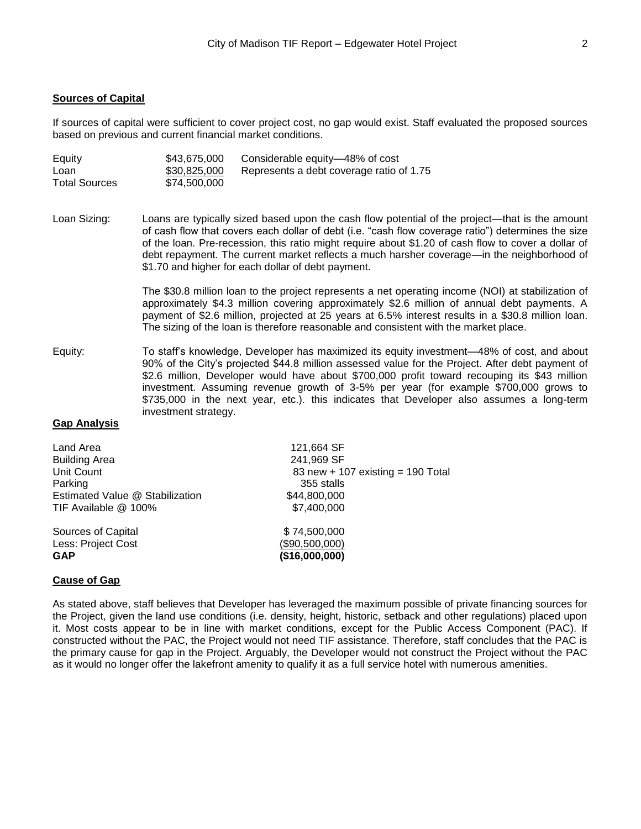#### **Sources of Capital**

If sources of capital were sufficient to cover project cost, no gap would exist. Staff evaluated the proposed sources based on previous and current financial market conditions.

| Equity               | \$43,675,000 | Considerable equity—48% of cost          |
|----------------------|--------------|------------------------------------------|
| Loan                 | \$30,825,000 | Represents a debt coverage ratio of 1.75 |
| <b>Total Sources</b> | \$74,500,000 |                                          |

Loan Sizing: Loans are typically sized based upon the cash flow potential of the project—that is the amount of cash flow that covers each dollar of debt (i.e. "cash flow coverage ratio") determines the size of the loan. Pre-recession, this ratio might require about \$1.20 of cash flow to cover a dollar of debt repayment. The current market reflects a much harsher coverage—in the neighborhood of \$1.70 and higher for each dollar of debt payment.

> The \$30.8 million loan to the project represents a net operating income (NOI) at stabilization of approximately \$4.3 million covering approximately \$2.6 million of annual debt payments. A payment of \$2.6 million, projected at 25 years at 6.5% interest results in a \$30.8 million loan. The sizing of the loan is therefore reasonable and consistent with the market place.

Equity: To staff's knowledge, Developer has maximized its equity investment—48% of cost, and about 90% of the City's projected \$44.8 million assessed value for the Project. After debt payment of \$2.6 million, Developer would have about \$700,000 profit toward recouping its \$43 million investment. Assuming revenue growth of 3-5% per year (for example \$700,000 grows to \$735,000 in the next year, etc.). this indicates that Developer also assumes a long-term investment strategy.

#### **Gap Analysis**

| 121,664 SF                        |
|-----------------------------------|
| 241,969 SF                        |
| 83 new + 107 existing = 190 Total |
| 355 stalls                        |
| \$44,800,000                      |
| \$7,400,000                       |
| \$74,500,000                      |
| (\$90,500,000)                    |
| (\$16,000,000)                    |
|                                   |

#### **Cause of Gap**

As stated above, staff believes that Developer has leveraged the maximum possible of private financing sources for the Project, given the land use conditions (i.e. density, height, historic, setback and other regulations) placed upon it. Most costs appear to be in line with market conditions, except for the Public Access Component (PAC). If constructed without the PAC, the Project would not need TIF assistance. Therefore, staff concludes that the PAC is the primary cause for gap in the Project. Arguably, the Developer would not construct the Project without the PAC as it would no longer offer the lakefront amenity to qualify it as a full service hotel with numerous amenities.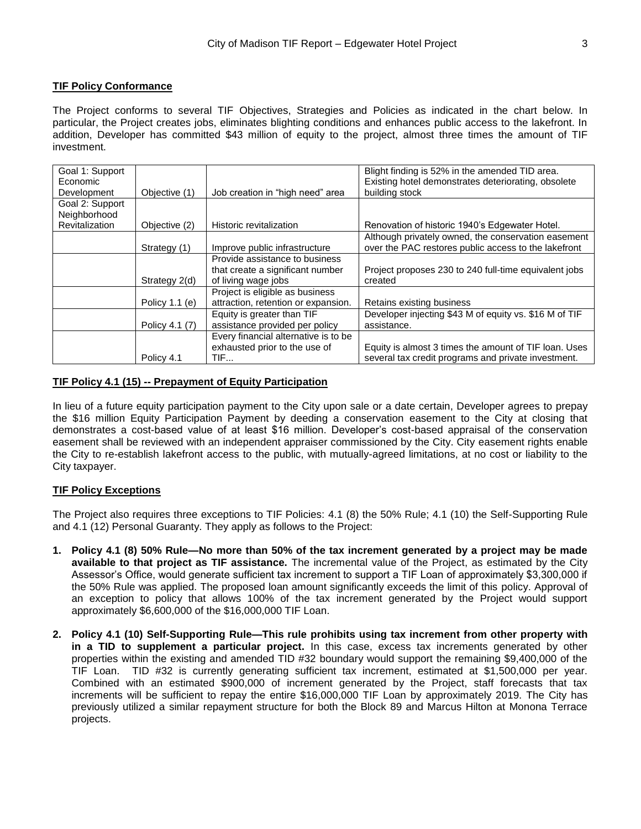### **TIF Policy Conformance**

The Project conforms to several TIF Objectives, Strategies and Policies as indicated in the chart below. In particular, the Project creates jobs, eliminates blighting conditions and enhances public access to the lakefront. In addition, Developer has committed \$43 million of equity to the project, almost three times the amount of TIF investment.

| Goal 1: Support<br>Economic |                |                                      | Blight finding is 52% in the amended TID area.<br>Existing hotel demonstrates deteriorating, obsolete |
|-----------------------------|----------------|--------------------------------------|-------------------------------------------------------------------------------------------------------|
| Development                 | Objective (1)  | Job creation in "high need" area     | building stock                                                                                        |
| Goal 2: Support             |                |                                      |                                                                                                       |
| Neighborhood                |                |                                      |                                                                                                       |
| Revitalization              | Objective (2)  | Historic revitalization              | Renovation of historic 1940's Edgewater Hotel.                                                        |
|                             |                |                                      | Although privately owned, the conservation easement                                                   |
|                             | Strategy (1)   | Improve public infrastructure        | over the PAC restores public access to the lakefront                                                  |
|                             |                | Provide assistance to business       |                                                                                                       |
|                             |                | that create a significant number     | Project proposes 230 to 240 full-time equivalent jobs                                                 |
|                             | Strategy 2(d)  | of living wage jobs                  | created                                                                                               |
|                             |                | Project is eligible as business      |                                                                                                       |
|                             | Policy 1.1 (e) | attraction, retention or expansion.  | Retains existing business                                                                             |
|                             |                | Equity is greater than TIF           | Developer injecting \$43 M of equity vs. \$16 M of TIF                                                |
|                             | Policy 4.1 (7) | assistance provided per policy       | assistance.                                                                                           |
|                             |                | Every financial alternative is to be |                                                                                                       |
|                             |                | exhausted prior to the use of        | Equity is almost 3 times the amount of TIF loan. Uses                                                 |
|                             | Policy 4.1     | TIF                                  | several tax credit programs and private investment.                                                   |

#### **TIF Policy 4.1 (15) -- Prepayment of Equity Participation**

In lieu of a future equity participation payment to the City upon sale or a date certain, Developer agrees to prepay the \$16 million Equity Participation Payment by deeding a conservation easement to the City at closing that demonstrates a cost-based value of at least \$16 million. Developer's cost-based appraisal of the conservation easement shall be reviewed with an independent appraiser commissioned by the City. City easement rights enable the City to re-establish lakefront access to the public, with mutually-agreed limitations, at no cost or liability to the City taxpayer.

#### **TIF Policy Exceptions**

The Project also requires three exceptions to TIF Policies: 4.1 (8) the 50% Rule; 4.1 (10) the Self-Supporting Rule and 4.1 (12) Personal Guaranty. They apply as follows to the Project:

- **1. Policy 4.1 (8) 50% Rule—No more than 50% of the tax increment generated by a project may be made available to that project as TIF assistance.** The incremental value of the Project, as estimated by the City Assessor's Office, would generate sufficient tax increment to support a TIF Loan of approximately \$3,300,000 if the 50% Rule was applied. The proposed loan amount significantly exceeds the limit of this policy. Approval of an exception to policy that allows 100% of the tax increment generated by the Project would support approximately \$6,600,000 of the \$16,000,000 TIF Loan.
- **2. Policy 4.1 (10) Self-Supporting Rule—This rule prohibits using tax increment from other property with in a TID to supplement a particular project.** In this case, excess tax increments generated by other properties within the existing and amended TID #32 boundary would support the remaining \$9,400,000 of the TIF Loan. TID #32 is currently generating sufficient tax increment, estimated at \$1,500,000 per year. Combined with an estimated \$900,000 of increment generated by the Project, staff forecasts that tax increments will be sufficient to repay the entire \$16,000,000 TIF Loan by approximately 2019. The City has previously utilized a similar repayment structure for both the Block 89 and Marcus Hilton at Monona Terrace projects.